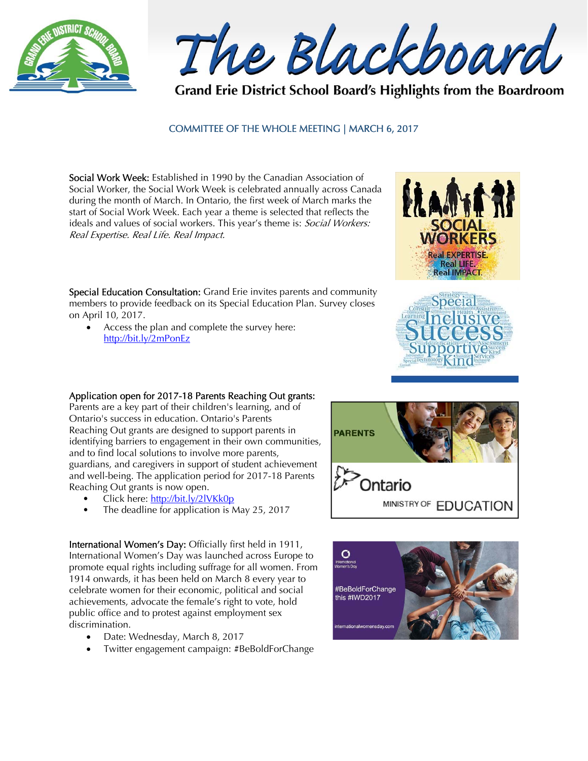

The Blackboard

Grand Erie District School Board's Highlights from the Boardroom

## COMMITTEE OF THE WHOLE MEETING | MARCH 6, 2017

Social Work Week: Established in 1990 by the Canadian Association of Social Worker, the Social Work Week is celebrated annually across Canada during the month of March. In Ontario, the first week of March marks the start of Social Work Week. Each year a theme is selected that reflects the ideals and values of social workers. This year's theme is: Social Workers: Real Expertise. Real Life. Real Impact.

Special Education Consultation: Grand Erie invites parents and community members to provide feedback on its Special Education Plan. Survey closes on April 10, 2017.

 Access the plan and complete the survey here: http://bit.ly/2mPonEz

## Application open for 2017-18 Parents Reaching Out grants:

Parents are a key part of their children's learning, and of Ontario's success in education. Ontario's Parents Reaching Out grants are designed to support parents in identifying barriers to engagement in their own communities, and to find local solutions to involve more parents, guardians, and caregivers in support of student achievement and well-being. The application period for 2017-18 Parents Reaching Out grants is now open.

- Click here: http://bit.ly/2lVKk0p
- The deadline for application is May 25, 2017

International Women's Day: Officially first held in 1911, International Women's Day was launched across Europe to promote equal rights including suffrage for all women. From 1914 onwards, it has been held on March 8 every year to celebrate women for their economic, political and social achievements, advocate the female's right to vote, hold public office and to protest against employment sex discrimination.

- Date: Wednesday, March 8, 2017
- Twitter engagement campaign: #BeBoldForChange







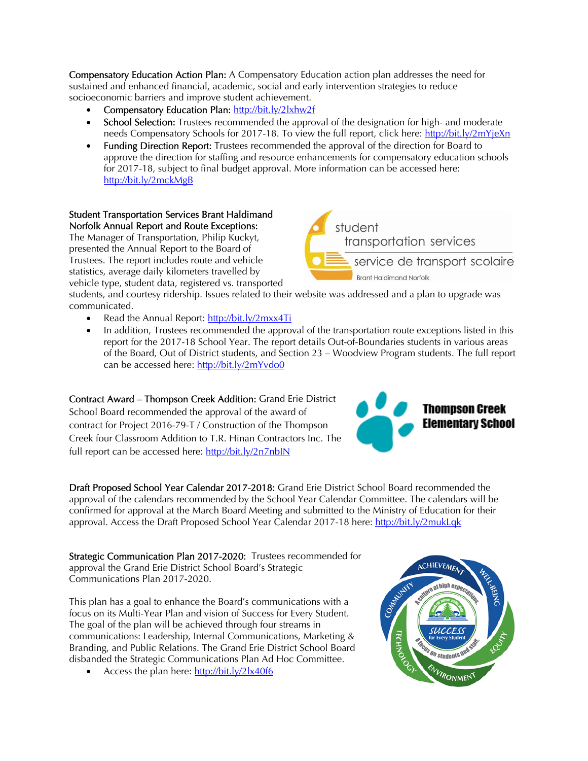Compensatory Education Action Plan: A Compensatory Education action plan addresses the need for sustained and enhanced financial, academic, social and early intervention strategies to reduce socioeconomic barriers and improve student achievement.

- Compensatory Education Plan: http://bit.ly/2lxhw2f
- School Selection: Trustees recommended the approval of the designation for high- and moderate needs Compensatory Schools for 2017-18. To view the full report, click here: http://bit.ly/2mYjeXn
- Funding Direction Report: Trustees recommended the approval of the direction for Board to approve the direction for staffing and resource enhancements for compensatory education schools for 2017-18, subject to final budget approval. More information can be accessed here: http://bit.ly/2mckMgB

## Student Transportation Services Brant Haldimand Norfolk Annual Report and Route Exceptions:

The Manager of Transportation, Philip Kuckyt, presented the Annual Report to the Board of Trustees. The report includes route and vehicle statistics, average daily kilometers travelled by vehicle type, student data, registered vs. transported



students, and courtesy ridership. Issues related to their website was addressed and a plan to upgrade was communicated.

- Read the Annual Report: http://bit.ly/2mxx4Ti
- In addition, Trustees recommended the approval of the transportation route exceptions listed in this report for the 2017-18 School Year. The report details Out-of-Boundaries students in various areas of the Board, Out of District students, and Section 23 – Woodview Program students. The full report can be accessed here: http://bit.ly/2mYvdo0

Contract Award – Thompson Creek Addition: Grand Erie District School Board recommended the approval of the award of contract for Project 2016-79-T / Construction of the Thompson Creek four Classroom Addition to T.R. Hinan Contractors Inc. The full report can be accessed here: http://bit.ly/2n7nbIN



Draft Proposed School Year Calendar 2017-2018: Grand Erie District School Board recommended the approval of the calendars recommended by the School Year Calendar Committee. The calendars will be confirmed for approval at the March Board Meeting and submitted to the Ministry of Education for their approval. Access the Draft Proposed School Year Calendar 2017-18 here: http://bit.ly/2mukLqk

Strategic Communication Plan 2017-2020: Trustees recommended for approval the Grand Erie District School Board's Strategic Communications Plan 2017-2020.

This plan has a goal to enhance the Board's communications with a focus on its Multi-Year Plan and vision of Success for Every Student. The goal of the plan will be achieved through four streams in communications: Leadership, Internal Communications, Marketing & Branding, and Public Relations. The Grand Erie District School Board disbanded the Strategic Communications Plan Ad Hoc Committee.

• Access the plan here: http://bit.ly/2lx40f6